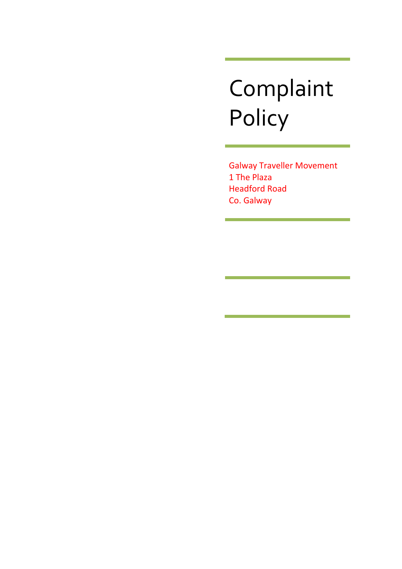# Complaint Policy

Galway Traveller Movement 1 The Plaza Headford Road Co. Galway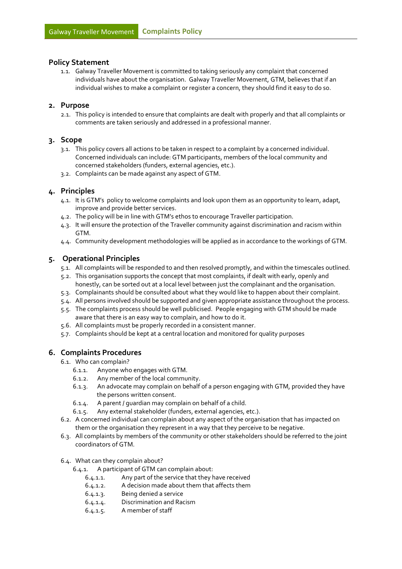#### **Policy Statement**

1.1. Galway Traveller Movement is committed to taking seriously any complaint that concerned individuals have about the organisation. Galway Traveller Movement, GTM, believes that if an individual wishes to make a complaint or register a concern, they should find it easy to do so.

#### **2. Purpose**

2.1. This policy is intended to ensure that complaints are dealt with properly and that all complaints or comments are taken seriously and addressed in a professional manner.

#### **3. Scope**

- 3.1. This policy covers all actions to be taken in respect to a complaint by a concerned individual. Concerned individuals can include: GTM participants, members of the local community and concerned stakeholders (funders, external agencies, etc.).
- 3.2. Complaints can be made against any aspect of GTM.

#### **4. Principles**

- 4.1. It is GTM's policy to welcome complaints and look upon them as an opportunity to learn, adapt, improve and provide better services.
- 4.2. The policy will be in line with GTM's ethos to encourage Traveller participation.
- 4.3. It will ensure the protection of the Traveller community against discrimination and racism within GTM.
- 4.4. Community development methodologies will be applied as in accordance to the workings of GTM.

#### **5. Operational Principles**

- 5.1. All complaints will be responded to and then resolved promptly, and within the timescales outlined.
- 5.2. This organisation supports the concept that most complaints, if dealt with early, openly and honestly, can be sorted out at a local level between just the complainant and the organisation.
- 5.3. Complainants should be consulted about what they would like to happen about their complaint.
- 5.4. All persons involved should be supported and given appropriate assistance throughout the process.
- 5.5. The complaints process should be well publicised. People engaging with GTM should be made aware that there is an easy way to complain, and how to do it.
- 5.6. All complaints must be properly recorded in a consistent manner.
- 5.7. Complaints should be kept at a central location and monitored for quality purposes

#### **6. Complaints Procedures**

- 6.1. Who can complain?
	- 6.1.1. Anyone who engages with GTM.
	- 6.1.2. Any member of the local community.
	- 6.1.3. An advocate may complain on behalf of a person engaging with GTM, provided they have the persons written consent.
	- 6.1.4. A parent / guardian may complain on behalf of a child.
	- 6.1.5. Any external stakeholder (funders, external agencies, etc.).
- 6.2. A concerned individual can complain about any aspect of the organisation that has impacted on them or the organisation they represent in a way that they perceive to be negative.
- 6.3. All complaints by members of the community or other stakeholders should be referred to the joint coordinators of GTM.
- 6.4. What can they complain about?
	- 6.4.1. A participant of GTM can complain about:
		- 6.4.1.1. Any part of the service that they have received
		- 6.4.1.2. A decision made about them that affects them
		- 6.4.1.3. Being denied a service
		- 6.4.1.4. Discrimination and Racism
		- 6.4.1.5. A member of staff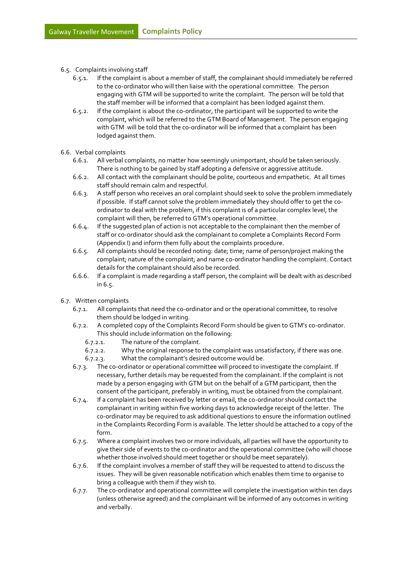- 6.5. Complaints involving staff
	- 6.5.1. If the complaint is about a member of staff, the complainant should immediately be referred to the co-ordinator who will then liaise with the operational committee. The person engaging with GTM will be supported to write the complaint. The person will be told that the staff member will be informed that a complaint has been lodged against them.
	- 6.5.2. If the complaint is about the co-ordinator, the participant will be supported to write the complaint, which will be referred to the GTM Board of Management. The person engaging with GTM will be told that the co-ordinator will be informed that a complaint has been lodged against them.
- 6.6. Verbal complaints
	- 6.6.1. All verbal complaints, no matter how seemingly unimportant, should be taken seriously. There is nothing to be gained by staff adopting a defensive or aggressive attitude.
	- 6.6.2. All contact with the complainant should be polite, courteous and empathetic. At all times staff should remain calm and respectful.
	- 6.6.3. A staff person who receives an oral complaint should seek to solve the problem immediately if possible.If staff cannot solve the problem immediately they should offer to get the coordinator to deal with the problem, if this complaint is of a particular complex level, the complaint will then, be referred to GTM's operational committee.
	- 6.6.4. If the suggested plan of action is not acceptable to the complainant then the member of staff or co-ordinator should ask the complainant to complete a Complaints Record Form (Appendix I) and inform them fully about the complaints procedure.
	- 6.6.5. All complaints should be recorded noting: date; time; name of person/project making the complaint; nature of the complaint; and name co-ordinator handling the complaint. Contact details for the complainant should also be recorded.
	- 6.6.6. If a complaint is made regarding a staff person, the complaint will be dealt with as described in 6.5.
- 6.7. Written complaints
	- 6.7.1. All complaints that need the co-ordinator and or the operational committee, to resolve them should be lodged in writing.
	- 6.7.2. A completed copy of the Complaints Record Form should be given to GTM's co-ordinator. This should include information on the following:
		- 6.7.2.1. The nature of the complaint.
		- 6.7.2.2. Why the original response to the complaint was unsatisfactory, if there was one.
		- 6.7.2.3. What the complainant's desired outcome would be.
	- 6.7.3. The co-ordinator or operational committee will proceed to investigate the complaint. If necessary, further details may be requested from the complainant. If the complaint is not made by a person engaging with GTM but on the behalf of a GTM participant, then the consent of the participant, preferably in writing, must be obtained from the complainant.
	- 6.7.4. If a complaint has been received by letter or email, the co-ordinator should contact the complainant in writing within five working days to acknowledge receipt of the letter. The co-ordinator may be required to ask additional questions to ensure the information outlined in the Complaints Recording Form is available. The letter should be attached to a copy of the form.
	- 6.7.5. Where a complaint involves two or more individuals, all parties will have the opportunity to give their side of events to the co-ordinator and the operational committee (who will choose whether those involved should meet together or should be meet separately).
	- 6.7.6. If the complaint involves a member of staff they will be requested to attend to discuss the issues. They will be given reasonable notification which enables them time to organise to bring a colleague with them if they wish to.
	- 6.7.7. The co-ordinator and operational committee will complete the investigation within ten days (unless otherwise agreed) and the complainant will be informed of any outcomes in writing and verbally.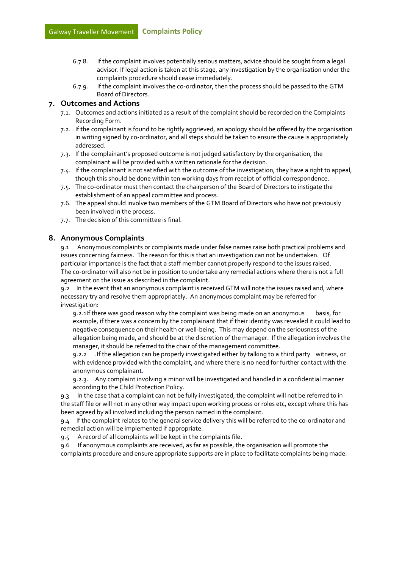- 6.7.8. If the complaint involves potentially serious matters, advice should be sought from a legal advisor. If legal action is taken at this stage, any investigation by the organisation under the complaints procedure should cease immediately.
- 6.7.9. If the complaint involves the co-ordinator, then the process should be passed to the GTM Board of Directors.

#### **7. Outcomes and Actions**

- 7.1. Outcomes and actions initiated as a result of the complaint should be recorded on the Complaints Recording Form.
- 7.2. If the complainant is found to be rightly aggrieved, an apology should be offered by the organisation in writing signed by co-ordinator, and all steps should be taken to ensure the cause is appropriately addressed.
- 7.3. If the complainant's proposed outcome is not judged satisfactory by the organisation, the complainant will be provided with a written rationale for the decision.
- 7.4. If the complainant is not satisfied with the outcome of the investigation, they have a right to appeal, though this should be done within ten working days from receipt of official correspondence.
- 7.5. The co-ordinator must then contact the chairperson of the Board of Directors to instigate the establishment of an appeal committee and process.
- 7.6. The appeal should involve two members of the GTM Board of Directors who have not previously been involved in the process.
- 7.7. The decision of this committee is final.

#### **8. Anonymous Complaints**

9.1 Anonymous complaints or complaints made under false names raise both practical problems and issues concerning fairness. The reason for this is that an investigation can not be undertaken. Of particular importance is the fact that a staff member cannot properly respond to the issues raised. The co-ordinator will also not be in position to undertake any remedial actions where there is not a full agreement on the issue as described in the complaint.

9.2 In the event that an anonymous complaint is received GTM will note the issues raised and, where necessary try and resolve them appropriately. An anonymous complaint may be referred for investigation:

9.2.1If there was good reason why the complaint was being made on an anonymous basis, for example, if there was a concern by the complainant that if their identity was revealed it could lead to negative consequence on their health or well-being. This may depend on the seriousness of the allegation being made, and should be at the discretion of the manager. If the allegation involves the manager, it should be referred to the chair of the management committee.

9.2.2 .If the allegation can be properly investigated either by talking to a third party witness, or with evidence provided with the complaint, and where there is no need for further contact with the anonymous complainant.

9.2.3. Any complaint involving a minor will be investigated and handled in a confidential manner according to the Child Protection Policy.

9.3 In the case that a complaint can not be fully investigated, the complaint will not be referred to in the staff file or will not in any other way impact upon working process or roles etc, except where this has been agreed by all involved including the person named in the complaint.

9.4 If the complaint relates to the general service delivery this will be referred to the co-ordinator and remedial action will be implemented if appropriate.

9.5 A record of all complaints will be kept in the complaints file.

9.6 If anonymous complaints are received, as far as possible, the organisation will promote the complaints procedure and ensure appropriate supports are in place to facilitate complaints being made.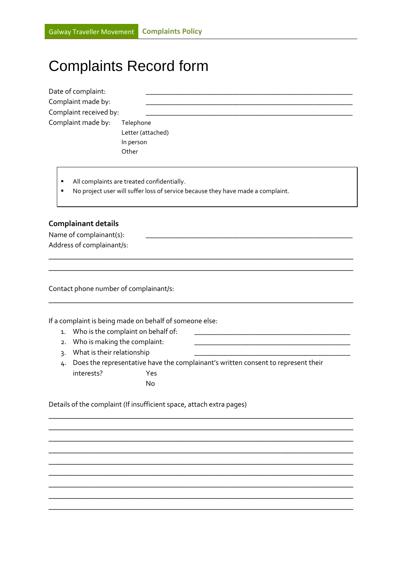## Complaints Record form

| Date of complaint:<br>Complaint made by:<br>Complaint received by:<br>Complaint made by:                                           |                                                                                   | Telephone<br>Letter (attached)<br>In person<br>Other    |  |  |
|------------------------------------------------------------------------------------------------------------------------------------|-----------------------------------------------------------------------------------|---------------------------------------------------------|--|--|
| All complaints are treated confidentially.<br>п<br>No project user will suffer loss of service because they have made a complaint. |                                                                                   |                                                         |  |  |
| <b>Complainant details</b><br>Name of complainant(s):<br>Address of complainant/s:                                                 |                                                                                   |                                                         |  |  |
|                                                                                                                                    |                                                                                   | Contact phone number of complainant/s:                  |  |  |
|                                                                                                                                    |                                                                                   | If a complaint is being made on behalf of someone else: |  |  |
| Who is the complaint on behalf of:<br>1.                                                                                           |                                                                                   |                                                         |  |  |
| 2.                                                                                                                                 | Who is making the complaint:                                                      |                                                         |  |  |
| $\overline{3}$                                                                                                                     | What is their relationship                                                        |                                                         |  |  |
| 4.                                                                                                                                 | Does the representative have the complainant's written consent to represent their |                                                         |  |  |
|                                                                                                                                    | interests?                                                                        | Yes                                                     |  |  |
|                                                                                                                                    |                                                                                   | No                                                      |  |  |

**\_\_\_\_\_\_\_\_\_\_\_\_\_\_\_\_\_\_\_\_\_\_\_\_\_\_\_\_\_\_\_\_\_\_\_\_\_\_\_\_\_\_\_\_\_\_\_\_\_\_\_\_\_\_\_\_\_\_\_\_\_\_\_\_\_\_\_\_\_\_\_\_\_\_\_\_\_ \_\_\_\_\_\_\_\_\_\_\_\_\_\_\_\_\_\_\_\_\_\_\_\_\_\_\_\_\_\_\_\_\_\_\_\_\_\_\_\_\_\_\_\_\_\_\_\_\_\_\_\_\_\_\_\_\_\_\_\_\_\_\_\_\_\_\_\_\_\_\_\_\_\_\_\_\_ \_\_\_\_\_\_\_\_\_\_\_\_\_\_\_\_\_\_\_\_\_\_\_\_\_\_\_\_\_\_\_\_\_\_\_\_\_\_\_\_\_\_\_\_\_\_\_\_\_\_\_\_\_\_\_\_\_\_\_\_\_\_\_\_\_\_\_\_\_\_\_\_\_\_\_\_\_ \_\_\_\_\_\_\_\_\_\_\_\_\_\_\_\_\_\_\_\_\_\_\_\_\_\_\_\_\_\_\_\_\_\_\_\_\_\_\_\_\_\_\_\_\_\_\_\_\_\_\_\_\_\_\_\_\_\_\_\_\_\_\_\_\_\_\_\_\_\_\_\_\_\_\_\_\_ \_\_\_\_\_\_\_\_\_\_\_\_\_\_\_\_\_\_\_\_\_\_\_\_\_\_\_\_\_\_\_\_\_\_\_\_\_\_\_\_\_\_\_\_\_\_\_\_\_\_\_\_\_\_\_\_\_\_\_\_\_\_\_\_\_\_\_\_\_\_\_\_\_\_\_\_\_ \_\_\_\_\_\_\_\_\_\_\_\_\_\_\_\_\_\_\_\_\_\_\_\_\_\_\_\_\_\_\_\_\_\_\_\_\_\_\_\_\_\_\_\_\_\_\_\_\_\_\_\_\_\_\_\_\_\_\_\_\_\_\_\_\_\_\_\_\_\_\_\_\_\_\_\_\_ \_\_\_\_\_\_\_\_\_\_\_\_\_\_\_\_\_\_\_\_\_\_\_\_\_\_\_\_\_\_\_\_\_\_\_\_\_\_\_\_\_\_\_\_\_\_\_\_\_\_\_\_\_\_\_\_\_\_\_\_\_\_\_\_\_\_\_\_\_\_\_\_\_\_\_\_\_ \_\_\_\_\_\_\_\_\_\_\_\_\_\_\_\_\_\_\_\_\_\_\_\_\_\_\_\_\_\_\_\_\_\_\_\_\_\_\_\_\_\_\_\_\_\_\_\_\_\_\_\_\_\_\_\_\_\_\_\_\_\_\_\_\_\_\_\_\_\_\_\_\_\_\_\_\_ \_\_\_\_\_\_\_\_\_\_\_\_\_\_\_\_\_\_\_\_\_\_\_\_\_\_\_\_\_\_\_\_\_\_\_\_\_\_\_\_\_\_\_\_\_\_\_\_\_\_\_\_\_\_\_\_\_\_\_\_\_\_\_\_\_\_\_\_\_\_\_\_\_\_\_\_\_**

Details of the complaint (If insufficient space, attach extra pages)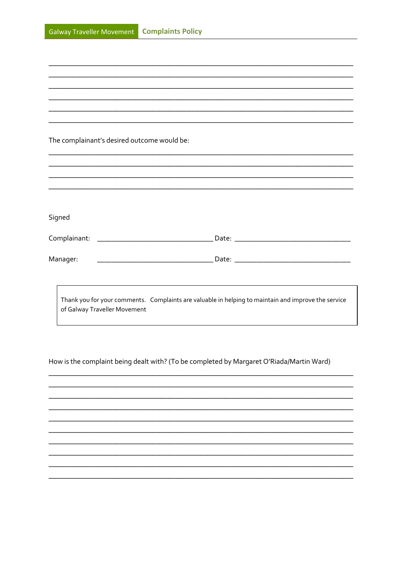| The complainant's desired outcome would be: |                                                                                                     |  |  |  |  |
|---------------------------------------------|-----------------------------------------------------------------------------------------------------|--|--|--|--|
|                                             |                                                                                                     |  |  |  |  |
|                                             |                                                                                                     |  |  |  |  |
|                                             |                                                                                                     |  |  |  |  |
|                                             |                                                                                                     |  |  |  |  |
|                                             |                                                                                                     |  |  |  |  |
|                                             |                                                                                                     |  |  |  |  |
| Signed                                      |                                                                                                     |  |  |  |  |
|                                             |                                                                                                     |  |  |  |  |
|                                             |                                                                                                     |  |  |  |  |
|                                             |                                                                                                     |  |  |  |  |
| Manager:                                    |                                                                                                     |  |  |  |  |
|                                             |                                                                                                     |  |  |  |  |
|                                             |                                                                                                     |  |  |  |  |
|                                             |                                                                                                     |  |  |  |  |
|                                             | Thank you for your comments. Complaints are valuable in helping to maintain and improve the service |  |  |  |  |
| of Galway Traveller Movement                |                                                                                                     |  |  |  |  |
|                                             |                                                                                                     |  |  |  |  |

How is the complaint being dealt with? (To be completed by Margaret O'Riada/Martin Ward)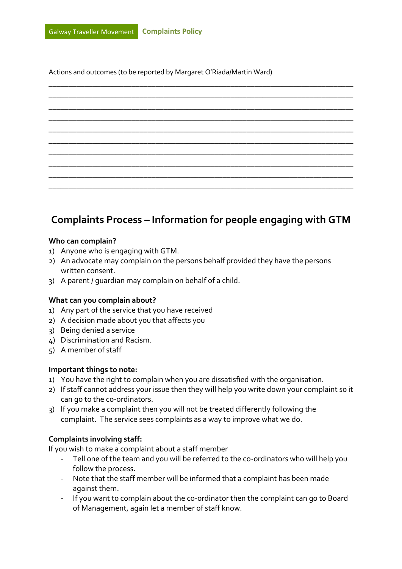Actions and outcomes (to be reported by Margaret O'Riada/Martin Ward)



### **Complaints Process – Information for people engaging with GTM**

#### **Who can complain?**

- 1) Anyone who is engaging with GTM.
- 2) An advocate may complain on the persons behalf provided they have the persons written consent.
- 3) A parent / guardian may complain on behalf of a child.

#### **What can you complain about?**

- 1) Any part of the service that you have received
- 2) A decision made about you that affects you
- 3) Being denied a service
- 4) Discrimination and Racism.
- 5) A member of staff

#### **Important things to note:**

- 1) You have the right to complain when you are dissatisfied with the organisation.
- 2) If staff cannot address your issue then they will help you write down your complaint so it can go to the co-ordinators.
- 3) If you make a complaint then you will not be treated differently following the complaint. The service sees complaints as a way to improve what we do.

#### **Complaints involving staff:**

If you wish to make a complaint about a staff member

- Tell one of the team and you will be referred to the co-ordinators who will help you follow the process.
- Note that the staff member will be informed that a complaint has been made against them.
- If you want to complain about the co-ordinator then the complaint can go to Board of Management, again let a member of staff know.